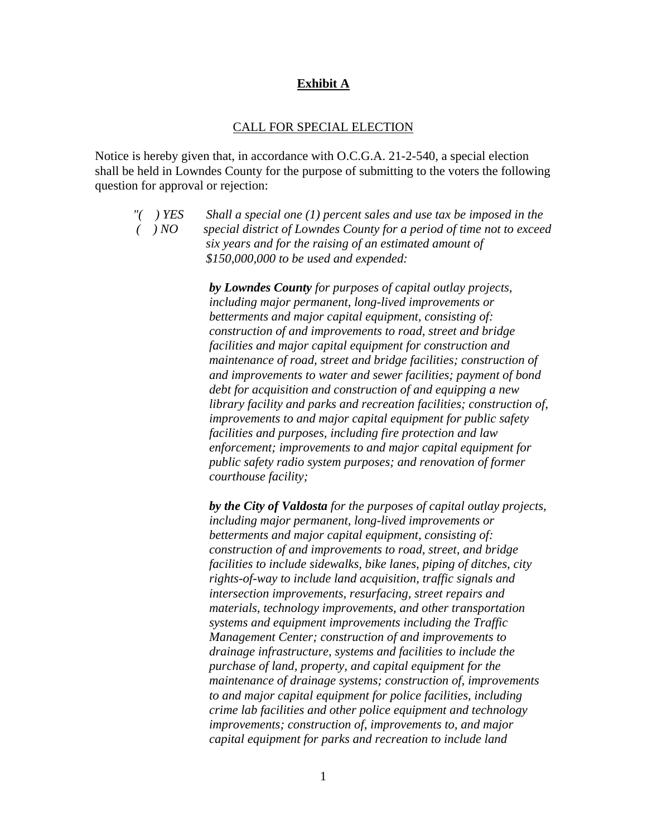## **Exhibit A**

## CALL FOR SPECIAL ELECTION

Notice is hereby given that, in accordance with O.C.G.A. 21-2-540, a special election shall be held in Lowndes County for the purpose of submitting to the voters the following question for approval or rejection:

- *"( ) YES Shall a special one (1) percent sales and use tax be imposed in the*
- *( ) NO special district of Lowndes County for a period of time not to exceed six years and for the raising of an estimated amount of \$150,000,000 to be used and expended:*

*by Lowndes County for purposes of capital outlay projects, including major permanent, long-lived improvements or betterments and major capital equipment, consisting of: construction of and improvements to road, street and bridge facilities and major capital equipment for construction and maintenance of road, street and bridge facilities; construction of and improvements to water and sewer facilities; payment of bond debt for acquisition and construction of and equipping a new library facility and parks and recreation facilities; construction of, improvements to and major capital equipment for public safety facilities and purposes, including fire protection and law enforcement; improvements to and major capital equipment for public safety radio system purposes; and renovation of former courthouse facility;* 

*by the City of Valdosta for the purposes of capital outlay projects, including major permanent, long-lived improvements or betterments and major capital equipment, consisting of: construction of and improvements to road, street, and bridge facilities to include sidewalks, bike lanes, piping of ditches, city rights-of-way to include land acquisition, traffic signals and intersection improvements, resurfacing, street repairs and materials, technology improvements, and other transportation systems and equipment improvements including the Traffic Management Center; construction of and improvements to drainage infrastructure, systems and facilities to include the purchase of land, property, and capital equipment for the maintenance of drainage systems; construction of, improvements to and major capital equipment for police facilities, including crime lab facilities and other police equipment and technology improvements; construction of, improvements to, and major capital equipment for parks and recreation to include land*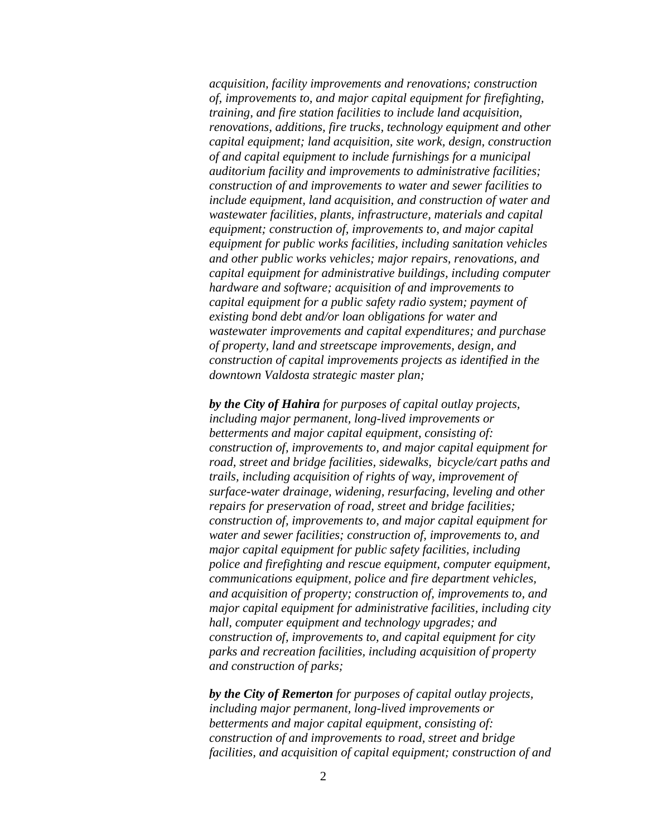*acquisition, facility improvements and renovations; construction of, improvements to, and major capital equipment for firefighting, training, and fire station facilities to include land acquisition, renovations, additions, fire trucks, technology equipment and other capital equipment; land acquisition, site work, design, construction of and capital equipment to include furnishings for a municipal auditorium facility and improvements to administrative facilities; construction of and improvements to water and sewer facilities to include equipment, land acquisition, and construction of water and wastewater facilities, plants, infrastructure, materials and capital equipment; construction of, improvements to, and major capital equipment for public works facilities, including sanitation vehicles and other public works vehicles; major repairs, renovations, and capital equipment for administrative buildings, including computer hardware and software; acquisition of and improvements to capital equipment for a public safety radio system; payment of existing bond debt and/or loan obligations for water and wastewater improvements and capital expenditures; and purchase of property, land and streetscape improvements, design, and construction of capital improvements projects as identified in the downtown Valdosta strategic master plan;* 

*by the City of Hahira for purposes of capital outlay projects, including major permanent, long-lived improvements or betterments and major capital equipment, consisting of: construction of, improvements to, and major capital equipment for road, street and bridge facilities, sidewalks, bicycle/cart paths and trails, including acquisition of rights of way, improvement of surface-water drainage, widening, resurfacing, leveling and other repairs for preservation of road, street and bridge facilities; construction of, improvements to, and major capital equipment for water and sewer facilities; construction of, improvements to, and major capital equipment for public safety facilities, including police and firefighting and rescue equipment, computer equipment, communications equipment, police and fire department vehicles, and acquisition of property; construction of, improvements to, and major capital equipment for administrative facilities, including city hall, computer equipment and technology upgrades; and construction of, improvements to, and capital equipment for city parks and recreation facilities, including acquisition of property and construction of parks;* 

*by the City of Remerton for purposes of capital outlay projects, including major permanent, long-lived improvements or betterments and major capital equipment, consisting of: construction of and improvements to road, street and bridge facilities, and acquisition of capital equipment; construction of and*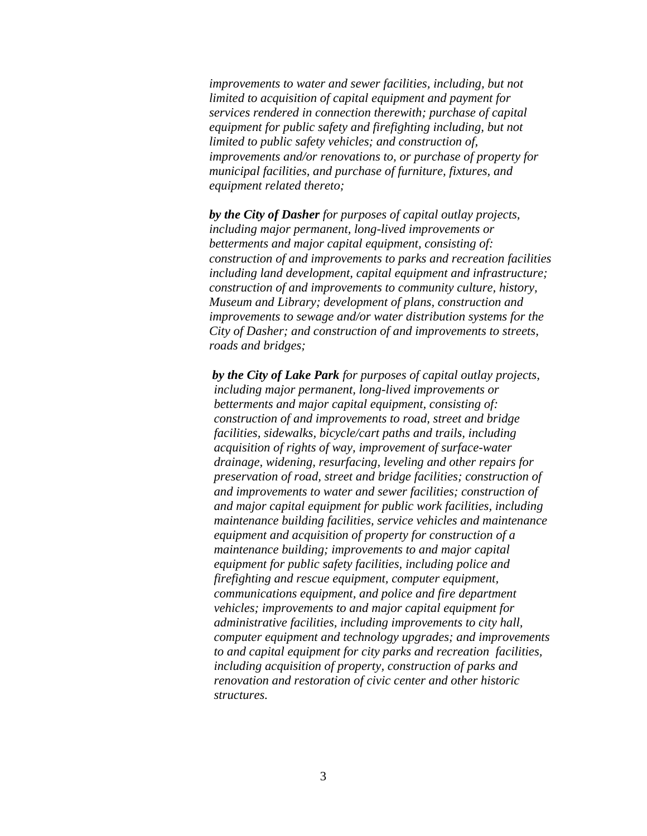*improvements to water and sewer facilities, including, but not limited to acquisition of capital equipment and payment for services rendered in connection therewith; purchase of capital equipment for public safety and firefighting including, but not limited to public safety vehicles; and construction of, improvements and/or renovations to, or purchase of property for municipal facilities, and purchase of furniture, fixtures, and equipment related thereto;* 

*by the City of Dasher for purposes of capital outlay projects, including major permanent, long-lived improvements or betterments and major capital equipment, consisting of: construction of and improvements to parks and recreation facilities including land development, capital equipment and infrastructure; construction of and improvements to community culture, history, Museum and Library; development of plans, construction and improvements to sewage and/or water distribution systems for the City of Dasher; and construction of and improvements to streets, roads and bridges;* 

*by the City of Lake Park for purposes of capital outlay projects, including major permanent, long-lived improvements or betterments and major capital equipment, consisting of: construction of and improvements to road, street and bridge facilities, sidewalks, bicycle/cart paths and trails, including acquisition of rights of way, improvement of surface-water drainage, widening, resurfacing, leveling and other repairs for preservation of road, street and bridge facilities; construction of and improvements to water and sewer facilities; construction of and major capital equipment for public work facilities, including maintenance building facilities, service vehicles and maintenance equipment and acquisition of property for construction of a maintenance building; improvements to and major capital equipment for public safety facilities, including police and firefighting and rescue equipment, computer equipment, communications equipment, and police and fire department vehicles; improvements to and major capital equipment for administrative facilities, including improvements to city hall, computer equipment and technology upgrades; and improvements to and capital equipment for city parks and recreation facilities, including acquisition of property, construction of parks and renovation and restoration of civic center and other historic structures.*